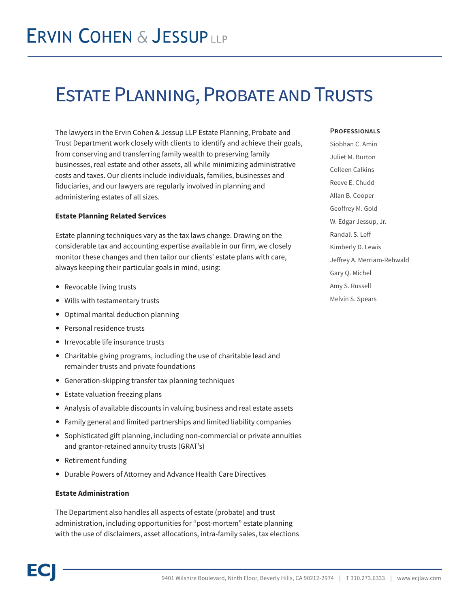# Estate Planning, Probate and Trusts

The lawyers in the Ervin Cohen & Jessup LLP Estate Planning, Probate and Trust Department work closely with clients to identify and achieve their goals, from conserving and transferring family wealth to preserving family businesses, real estate and other assets, all while minimizing administrative costs and taxes. Our clients include individuals, families, businesses and fiduciaries, and our lawyers are regularly involved in planning and administering estates of all sizes.

### **Estate Planning Related Services**

Estate planning techniques vary as the tax laws change. Drawing on the considerable tax and accounting expertise available in our firm, we closely monitor these changes and then tailor our clients' estate plans with care, always keeping their particular goals in mind, using:

- Revocable living trusts
- Wills with testamentary trusts
- Optimal marital deduction planning
- Personal residence trusts
- Irrevocable life insurance trusts
- Charitable giving programs, including the use of charitable lead and remainder trusts and private foundations
- Generation-skipping transfer tax planning techniques
- Estate valuation freezing plans
- Analysis of available discounts in valuing business and real estate assets
- Family general and limited partnerships and limited liability companies
- Sophisticated gift planning, including non-commercial or private annuities and grantor-retained annuity trusts (GRAT's)
- Retirement funding
- Durable Powers of Attorney and Advance Health Care Directives

# **Estate Administration**

The Department also handles all aspects of estate (probate) and trust administration, including opportunities for "post-mortem" estate planning with the use of disclaimers, asset allocations, intra-family sales, tax elections

#### **Professionals**

Siobhan C. Amin Juliet M. Burton Colleen Calkins Reeve E. Chudd Allan B. Cooper Geoffrey M. Gold W. Edgar Jessup, Jr. Randall S. Leff Kimberly D. Lewis Jeffrey A. Merriam-Rehwald Gary Q. Michel Amy S. Russell Melvin S. Spears